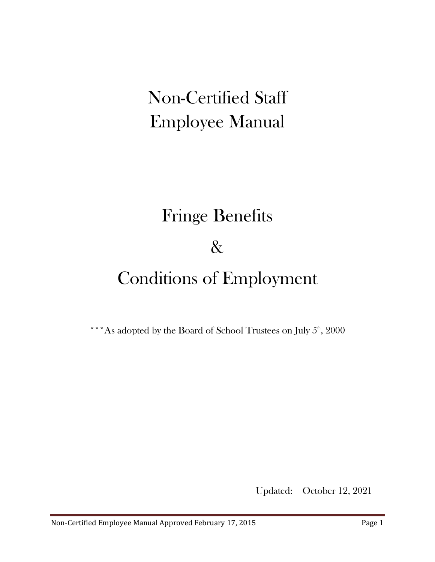# Non-Certified Staff Employee Manual

# Fringe Benefits

### &

# Conditions of Employment

\*\*\*As adopted by the Board of School Trustees on July  $5<sup>th</sup>$ , 2000

Updated: October 12, 2021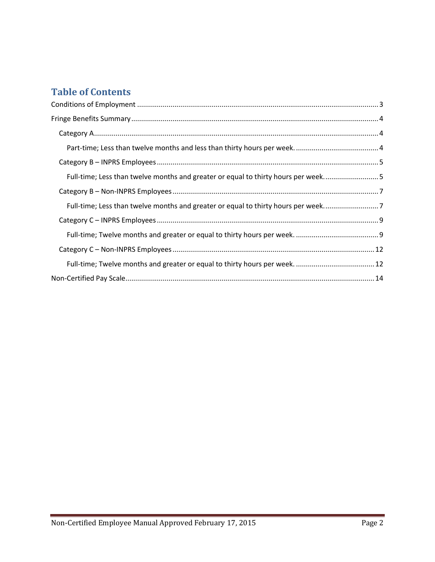### **Table of Contents**

| Full-time; Less than twelve months and greater or equal to thirty hours per week5 |  |
|-----------------------------------------------------------------------------------|--|
|                                                                                   |  |
| Full-time; Less than twelve months and greater or equal to thirty hours per week7 |  |
|                                                                                   |  |
|                                                                                   |  |
|                                                                                   |  |
|                                                                                   |  |
|                                                                                   |  |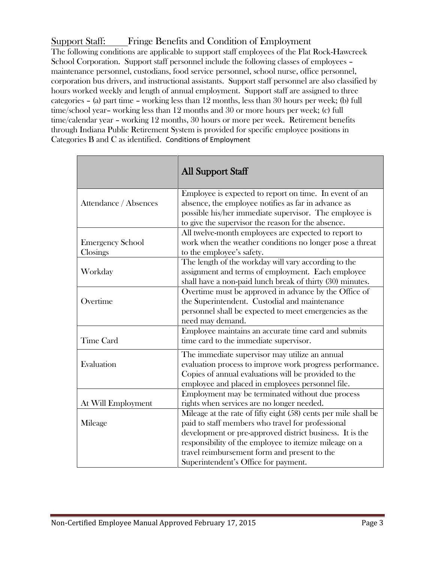#### Support Staff: Fringe Benefits and Condition of Employment

The following conditions are applicable to support staff employees of the Flat Rock-Hawcreek School Corporation. Support staff personnel include the following classes of employees – maintenance personnel, custodians, food service personnel, school nurse, office personnel, corporation bus drivers, and instructional assistants. Support staff personnel are also classified by hours worked weekly and length of annual employment. Support staff are assigned to three categories – (a) part time – working less than 12 months, less than 30 hours per week; (b) full time/school year– working less than 12 months and 30 or more hours per week; (c) full time/calendar year – working 12 months, 30 hours or more per week. Retirement benefits through Indiana Public Retirement System is provided for specific employee positions in Categories B and C as identified. Conditions of Employment

<span id="page-2-0"></span>

|                                     | <b>All Support Staff</b>                                                                                                                                                                                                                                                                                                           |
|-------------------------------------|------------------------------------------------------------------------------------------------------------------------------------------------------------------------------------------------------------------------------------------------------------------------------------------------------------------------------------|
| Attendance / Absences               | Employee is expected to report on time. In event of an<br>absence, the employee notifies as far in advance as<br>possible his/her immediate supervisor. The employee is<br>to give the supervisor the reason for the absence.                                                                                                      |
| <b>Emergency School</b><br>Closings | All twelve-month employees are expected to report to<br>work when the weather conditions no longer pose a threat<br>to the employee's safety.                                                                                                                                                                                      |
| Workday                             | The length of the workday will vary according to the<br>assignment and terms of employment. Each employee<br>shall have a non-paid lunch break of thirty (30) minutes.                                                                                                                                                             |
| Overtime                            | Overtime must be approved in advance by the Office of<br>the Superintendent. Custodial and maintenance<br>personnel shall be expected to meet emergencies as the<br>need may demand.                                                                                                                                               |
| <b>Time Card</b>                    | Employee maintains an accurate time card and submits<br>time card to the immediate supervisor.                                                                                                                                                                                                                                     |
| Evaluation                          | The immediate supervisor may utilize an annual<br>evaluation process to improve work progress performance.<br>Copies of annual evaluations will be provided to the<br>employee and placed in employees personnel file.                                                                                                             |
| At Will Employment                  | Employment may be terminated without due process<br>rights when services are no longer needed.                                                                                                                                                                                                                                     |
| Mileage                             | Mileage at the rate of fifty eight (58) cents per mile shall be<br>paid to staff members who travel for professional<br>development or pre-approved district business. It is the<br>responsibility of the employee to itemize mileage on a<br>travel reimbursement form and present to the<br>Superintendent's Office for payment. |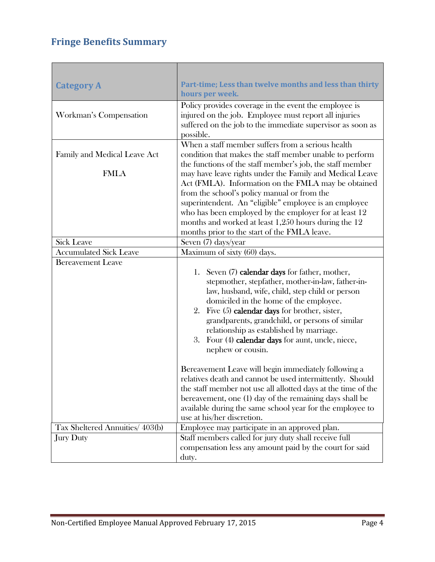### <span id="page-3-0"></span>**Fringe Benefits Summary**

<span id="page-3-2"></span>T

г

<span id="page-3-1"></span>

| <b>Category A</b>               | Part-time; Less than twelve months and less than thirty<br>hours per week.                                                                                                                                                                                                                                                                                                                                                        |
|---------------------------------|-----------------------------------------------------------------------------------------------------------------------------------------------------------------------------------------------------------------------------------------------------------------------------------------------------------------------------------------------------------------------------------------------------------------------------------|
| Workman's Compensation          | Policy provides coverage in the event the employee is<br>injured on the job. Employee must report all injuries<br>suffered on the job to the immediate supervisor as soon as<br>possible.                                                                                                                                                                                                                                         |
| Family and Medical Leave Act    | When a staff member suffers from a serious health<br>condition that makes the staff member unable to perform<br>the functions of the staff member's job, the staff member                                                                                                                                                                                                                                                         |
| <b>FMLA</b>                     | may have leave rights under the Family and Medical Leave<br>Act (FMLA). Information on the FMLA may be obtained<br>from the school's policy manual or from the<br>superintendent. An "eligible" employee is an employee<br>who has been employed by the employer for at least 12<br>months and worked at least 1,250 hours during the 12<br>months prior to the start of the FMLA leave.                                          |
| <b>Sick Leave</b>               | Seven (7) days/year                                                                                                                                                                                                                                                                                                                                                                                                               |
| <b>Accumulated Sick Leave</b>   | Maximum of sixty (60) days.                                                                                                                                                                                                                                                                                                                                                                                                       |
| <b>Bereavement Leave</b>        | 1. Seven (7) calendar days for father, mother,<br>stepmother, stepfather, mother-in-law, father-in-<br>law, husband, wife, child, step child or person<br>domiciled in the home of the employee.<br>Five (5) calendar days for brother, sister,<br>2.<br>grandparents, grandchild, or persons of similar<br>relationship as established by marriage.<br>Four (4) calendar days for aunt, uncle, niece,<br>3.<br>nephew or cousin. |
|                                 | Bereavement Leave will begin immediately following a<br>relatives death and cannot be used intermittently. Should<br>the staff member not use all allotted days at the time of the<br>bereavement, one (1) day of the remaining days shall be<br>available during the same school year for the employee to<br>use at his/her discretion.                                                                                          |
| Tax Sheltered Annuities/ 403(b) | Employee may participate in an approved plan.                                                                                                                                                                                                                                                                                                                                                                                     |
| <b>Jury Duty</b>                | Staff members called for jury duty shall receive full<br>compensation less any amount paid by the court for said<br>duty.                                                                                                                                                                                                                                                                                                         |

п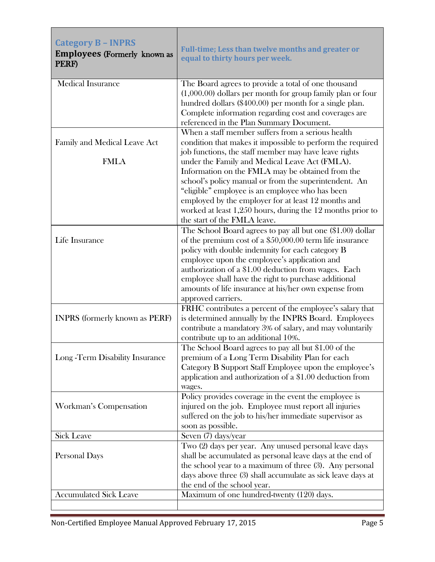<span id="page-4-1"></span><span id="page-4-0"></span>

| <b>Category B - INPRS</b><br><b>Employees (Formerly known as</b><br>PERF) | Full-time; Less than twelve months and greater or<br>equal to thirty hours per week.                                                                                                                                                                                                                                                                                                                                       |
|---------------------------------------------------------------------------|----------------------------------------------------------------------------------------------------------------------------------------------------------------------------------------------------------------------------------------------------------------------------------------------------------------------------------------------------------------------------------------------------------------------------|
| <b>Medical Insurance</b>                                                  | The Board agrees to provide a total of one thousand<br>$(1,000.00)$ dollars per month for group family plan or four<br>hundred dollars (\$400.00) per month for a single plan.<br>Complete information regarding cost and coverages are<br>referenced in the Plan Summary Document.                                                                                                                                        |
| Family and Medical Leave Act<br><b>FMLA</b>                               | When a staff member suffers from a serious health<br>condition that makes it impossible to perform the required<br>job functions, the staff member may have leave rights<br>under the Family and Medical Leave Act (FMLA).<br>Information on the FMLA may be obtained from the                                                                                                                                             |
|                                                                           | school's policy manual or from the superintendent. An<br>"eligible" employee is an employee who has been<br>employed by the employer for at least 12 months and<br>worked at least 1,250 hours, during the 12 months prior to<br>the start of the FMLA leave.                                                                                                                                                              |
| Life Insurance                                                            | The School Board agrees to pay all but one (\$1.00) dollar<br>of the premium cost of a $$50,000.00$ term life insurance<br>policy with double indemnity for each category B<br>employee upon the employee's application and<br>authorization of a \$1.00 deduction from wages. Each<br>employee shall have the right to purchase additional<br>amounts of life insurance at his/her own expense from<br>approved carriers. |
| <b>INPRS</b> (formerly known as PERF)                                     | FRHC contributes a percent of the employee's salary that<br>is determined annually by the INPRS Board. Employees<br>contribute a mandatory 3% of salary, and may voluntarily<br>contribute up to an additional 10%.                                                                                                                                                                                                        |
| Long - Term Disability Insurance                                          | The School Board agrees to pay all but \$1.00 of the<br>premium of a Long Term Disability Plan for each<br>Category B Support Staff Employee upon the employee's<br>application and authorization of a \$1.00 deduction from<br>wages.                                                                                                                                                                                     |
| <b>Workman's Compensation</b>                                             | Policy provides coverage in the event the employee is<br>injured on the job. Employee must report all injuries<br>suffered on the job to his/her immediate supervisor as<br>soon as possible.                                                                                                                                                                                                                              |
| <b>Sick Leave</b>                                                         | Seven (7) days/year                                                                                                                                                                                                                                                                                                                                                                                                        |
| <b>Personal Days</b>                                                      | Two (2) days per year. Any unused personal leave days<br>shall be accumulated as personal leave days at the end of<br>the school year to a maximum of three $(3)$ . Any personal<br>days above three (3) shall accumulate as sick leave days at<br>the end of the school year.                                                                                                                                             |
| <b>Accumulated Sick Leave</b>                                             | Maximum of one hundred-twenty (120) days.                                                                                                                                                                                                                                                                                                                                                                                  |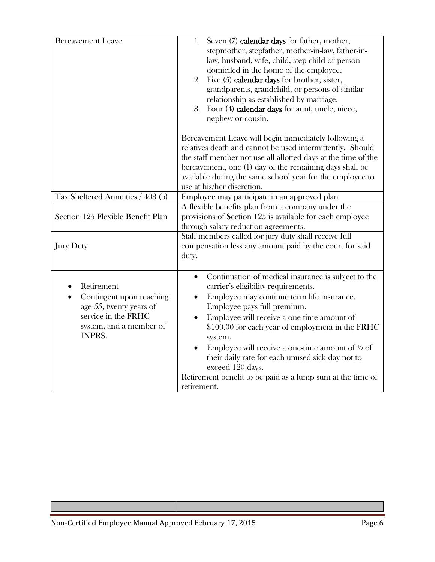| <b>Bereavement Leave</b>                                                                                                      | 1. Seven (7) calendar days for father, mother,<br>stepmother, stepfather, mother-in-law, father-in-<br>law, husband, wife, child, step child or person<br>domiciled in the home of the employee.<br>2. Five $(5)$ calendar days for brother, sister,<br>grandparents, grandchild, or persons of similar<br>relationship as established by marriage.<br>3. Four (4) calendar days for aunt, uncle, niece,<br>nephew or cousin.                                                                                         |
|-------------------------------------------------------------------------------------------------------------------------------|-----------------------------------------------------------------------------------------------------------------------------------------------------------------------------------------------------------------------------------------------------------------------------------------------------------------------------------------------------------------------------------------------------------------------------------------------------------------------------------------------------------------------|
|                                                                                                                               | Bereavement Leave will begin immediately following a<br>relatives death and cannot be used intermittently. Should<br>the staff member not use all allotted days at the time of the<br>bereavement, one (1) day of the remaining days shall be<br>available during the same school year for the employee to<br>use at his/her discretion.                                                                                                                                                                              |
| Tax Sheltered Annuities / 403 (b)                                                                                             | Employee may participate in an approved plan                                                                                                                                                                                                                                                                                                                                                                                                                                                                          |
| Section 125 Flexible Benefit Plan                                                                                             | A flexible benefits plan from a company under the<br>provisions of Section 125 is available for each employee<br>through salary reduction agreements.                                                                                                                                                                                                                                                                                                                                                                 |
| <b>Jury Duty</b>                                                                                                              | Staff members called for jury duty shall receive full<br>compensation less any amount paid by the court for said<br>duty.                                                                                                                                                                                                                                                                                                                                                                                             |
| Retirement<br>Contingent upon reaching<br>age 55, twenty years of<br>service in the FRHC<br>system, and a member of<br>INPRS. | Continuation of medical insurance is subject to the<br>$\bullet$<br>carrier's eligibility requirements.<br>Employee may continue term life insurance.<br>Employee pays full premium.<br>Employee will receive a one-time amount of<br>\$100.00 for each year of employment in the FRHC<br>system.<br>Employee will receive a one-time amount of $\frac{1}{2}$ of<br>their daily rate for each unused sick day not to<br>exceed 120 days.<br>Retirement benefit to be paid as a lump sum at the time of<br>retirement. |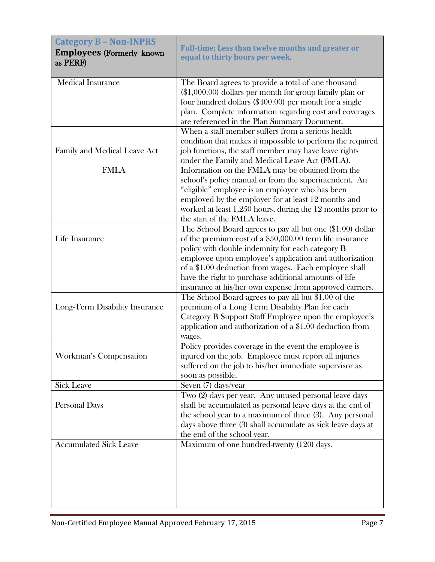<span id="page-6-1"></span><span id="page-6-0"></span>

| <b>Category B - Non-INPRS</b><br><b>Employees (Formerly known)</b><br>as PERF) | Full-time; Less than twelve months and greater or<br>equal to thirty hours per week.                                                                                                                                                                                                                                                                                                                                                                                                                                |
|--------------------------------------------------------------------------------|---------------------------------------------------------------------------------------------------------------------------------------------------------------------------------------------------------------------------------------------------------------------------------------------------------------------------------------------------------------------------------------------------------------------------------------------------------------------------------------------------------------------|
| <b>Medical Insurance</b>                                                       | The Board agrees to provide a total of one thousand<br>$(\$1,000.00)$ dollars per month for group family plan or<br>four hundred dollars $(\$400.00)$ per month for a single<br>plan. Complete information regarding cost and coverages<br>are referenced in the Plan Summary Document.                                                                                                                                                                                                                             |
| Family and Medical Leave Act<br><b>FMLA</b>                                    | When a staff member suffers from a serious health<br>condition that makes it impossible to perform the required<br>job functions, the staff member may have leave rights<br>under the Family and Medical Leave Act (FMLA).<br>Information on the FMLA may be obtained from the<br>school's policy manual or from the superintendent. An<br>"eligible" employee is an employee who has been<br>employed by the employer for at least 12 months and<br>worked at least $1,250$ hours, during the $12$ months prior to |
| Life Insurance                                                                 | the start of the FMLA leave.<br>The School Board agrees to pay all but one (\$1.00) dollar<br>of the premium cost of a \$50,000.00 term life insurance<br>policy with double indemnity for each category B<br>employee upon employee's application and authorization<br>of a \$1.00 deduction from wages. Each employee shall<br>have the right to purchase additional amounts of life                                                                                                                              |
| Long-Term Disability Insurance                                                 | insurance at his/her own expense from approved carriers.<br>The School Board agrees to pay all but \$1.00 of the<br>premium of a Long Term Disability Plan for each<br>Category B Support Staff Employee upon the employee's<br>application and authorization of a \$1.00 deduction from<br>wages.                                                                                                                                                                                                                  |
| Workman's Compensation                                                         | Policy provides coverage in the event the employee is<br>injured on the job. Employee must report all injuries<br>suffered on the job to his/her immediate supervisor as<br>soon as possible.                                                                                                                                                                                                                                                                                                                       |
| <b>Sick Leave</b>                                                              | Seven (7) days/year                                                                                                                                                                                                                                                                                                                                                                                                                                                                                                 |
| Personal Days                                                                  | Two (2) days per year. Any unused personal leave days<br>shall be accumulated as personal leave days at the end of<br>the school year to a maximum of three (3). Any personal<br>days above three (3) shall accumulate as sick leave days at<br>the end of the school year.                                                                                                                                                                                                                                         |
| <b>Accumulated Sick Leave</b>                                                  | Maximum of one hundred-twenty (120) days.                                                                                                                                                                                                                                                                                                                                                                                                                                                                           |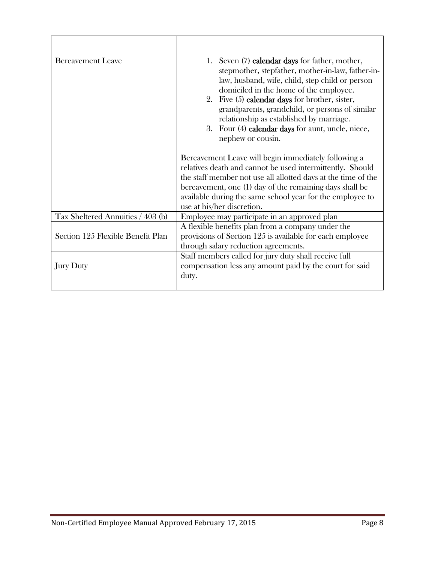| <b>Bereavement Leave</b>          | 1. Seven (7) calendar days for father, mother,<br>stepmother, stepfather, mother-in-law, father-in-<br>law, husband, wife, child, step child or person<br>domiciled in the home of the employee.<br>2. Five $(5)$ calendar days for brother, sister,<br>grandparents, grandchild, or persons of similar<br>relationship as established by marriage.<br>3. Four (4) calendar days for aunt, uncle, niece,<br>nephew or cousin. |
|-----------------------------------|-------------------------------------------------------------------------------------------------------------------------------------------------------------------------------------------------------------------------------------------------------------------------------------------------------------------------------------------------------------------------------------------------------------------------------|
|                                   | Bereavement Leave will begin immediately following a<br>relatives death and cannot be used intermittently. Should<br>the staff member not use all allotted days at the time of the<br>bereavement, one (1) day of the remaining days shall be<br>available during the same school year for the employee to<br>use at his/her discretion.                                                                                      |
| Tax Sheltered Annuities / 403 (b) | Employee may participate in an approved plan                                                                                                                                                                                                                                                                                                                                                                                  |
| Section 125 Flexible Benefit Plan | A flexible benefits plan from a company under the<br>provisions of Section 125 is available for each employee<br>through salary reduction agreements.                                                                                                                                                                                                                                                                         |
| <b>Jury Duty</b>                  | Staff members called for jury duty shall receive full<br>compensation less any amount paid by the court for said<br>duty.                                                                                                                                                                                                                                                                                                     |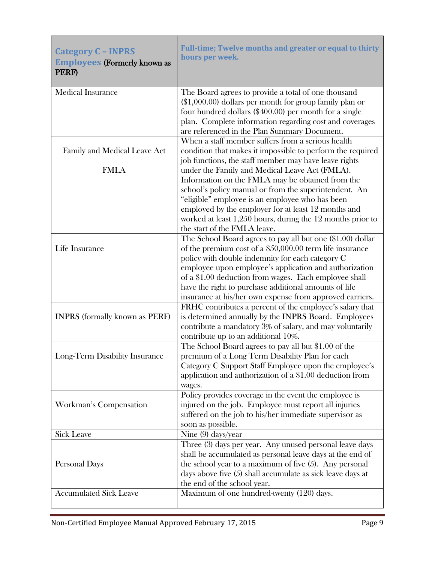<span id="page-8-1"></span><span id="page-8-0"></span>

| <b>Category C - INPRS</b><br><b>Employees (Formerly known as</b><br>PERF) | Full-time; Twelve months and greater or equal to thirty<br>hours per week.                                                                                                                                                                                                                                                                                                                                          |
|---------------------------------------------------------------------------|---------------------------------------------------------------------------------------------------------------------------------------------------------------------------------------------------------------------------------------------------------------------------------------------------------------------------------------------------------------------------------------------------------------------|
| <b>Medical Insurance</b>                                                  | The Board agrees to provide a total of one thousand<br>$(\$1,000.00)$ dollars per month for group family plan or<br>four hundred dollars $(\$400.00)$ per month for a single<br>plan. Complete information regarding cost and coverages<br>are referenced in the Plan Summary Document.                                                                                                                             |
| Family and Medical Leave Act<br><b>FMLA</b>                               | When a staff member suffers from a serious health<br>condition that makes it impossible to perform the required<br>job functions, the staff member may have leave rights<br>under the Family and Medical Leave Act (FMLA).                                                                                                                                                                                          |
|                                                                           | Information on the FMLA may be obtained from the<br>school's policy manual or from the superintendent. An<br>"eligible" employee is an employee who has been<br>employed by the employer for at least 12 months and<br>worked at least 1,250 hours, during the 12 months prior to<br>the start of the FMLA leave.                                                                                                   |
| Life Insurance                                                            | The School Board agrees to pay all but one (\$1.00) dollar<br>of the premium cost of a $$50,000.00$ term life insurance<br>policy with double indemnity for each category C<br>employee upon employee's application and authorization<br>of a \$1.00 deduction from wages. Each employee shall<br>have the right to purchase additional amounts of life<br>insurance at his/her own expense from approved carriers. |
| <b>INPRS</b> (formally known as PERF)                                     | FRHC contributes a percent of the employee's salary that<br>is determined annually by the INPRS Board. Employees<br>contribute a mandatory 3% of salary, and may voluntarily<br>contribute up to an additional 10%.                                                                                                                                                                                                 |
| Long-Term Disability Insurance                                            | The School Board agrees to pay all but \$1.00 of the<br>premium of a Long Term Disability Plan for each<br>Category C Support Staff Employee upon the employee's<br>application and authorization of a \$1.00 deduction from<br>wages.                                                                                                                                                                              |
| Workman's Compensation                                                    | Policy provides coverage in the event the employee is<br>injured on the job. Employee must report all injuries<br>suffered on the job to his/her immediate supervisor as<br>soon as possible.                                                                                                                                                                                                                       |
| <b>Sick Leave</b>                                                         | Nine $(9)$ days/year                                                                                                                                                                                                                                                                                                                                                                                                |
| Personal Days                                                             | Three (3) days per year. Any unused personal leave days<br>shall be accumulated as personal leave days at the end of<br>the school year to a maximum of five $(5)$ . Any personal<br>days above five (5) shall accumulate as sick leave days at<br>the end of the school year.                                                                                                                                      |
| <b>Accumulated Sick Leave</b>                                             | Maximum of one hundred-twenty (120) days.                                                                                                                                                                                                                                                                                                                                                                           |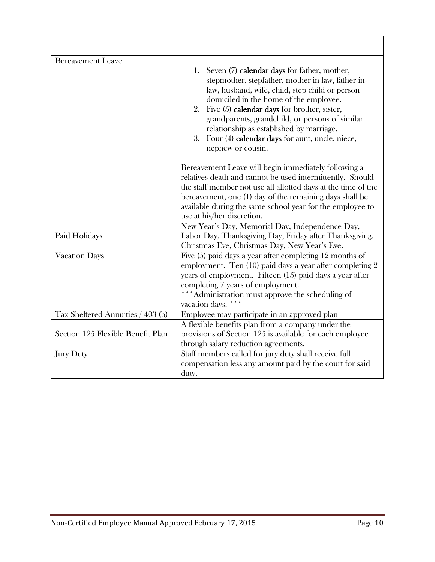| <b>Bereavement Leave</b>          | 1. Seven (7) calendar days for father, mother,<br>stepmother, stepfather, mother-in-law, father-in-<br>law, husband, wife, child, step child or person<br>domiciled in the home of the employee.<br>2. Five (5) calendar days for brother, sister,<br>grandparents, grandchild, or persons of similar<br>relationship as established by marriage.<br>3. Four (4) calendar days for aunt, uncle, niece,<br>nephew or cousin. |
|-----------------------------------|-----------------------------------------------------------------------------------------------------------------------------------------------------------------------------------------------------------------------------------------------------------------------------------------------------------------------------------------------------------------------------------------------------------------------------|
|                                   | Bereavement Leave will begin immediately following a<br>relatives death and cannot be used intermittently. Should<br>the staff member not use all allotted days at the time of the<br>bereavement, one (1) day of the remaining days shall be<br>available during the same school year for the employee to<br>use at his/her discretion.                                                                                    |
| Paid Holidays                     | New Year's Day, Memorial Day, Independence Day,<br>Labor Day, Thanksgiving Day, Friday after Thanksgiving,<br>Christmas Eve, Christmas Day, New Year's Eve.                                                                                                                                                                                                                                                                 |
| <b>Vacation Days</b>              | Five $(5)$ paid days a year after completing 12 months of<br>employment. Ten (10) paid days a year after completing 2<br>years of employment. Fifteen (15) paid days a year after<br>completing 7 years of employment.<br>***Administration must approve the scheduling of<br>vacation days.                                                                                                                                |
| Tax Sheltered Annuities / 403 (b) | Employee may participate in an approved plan                                                                                                                                                                                                                                                                                                                                                                                |
| Section 125 Flexible Benefit Plan | A flexible benefits plan from a company under the<br>provisions of Section 125 is available for each employee<br>through salary reduction agreements.                                                                                                                                                                                                                                                                       |
| <b>Jury Duty</b>                  | Staff members called for jury duty shall receive full<br>compensation less any amount paid by the court for said<br>duty.                                                                                                                                                                                                                                                                                                   |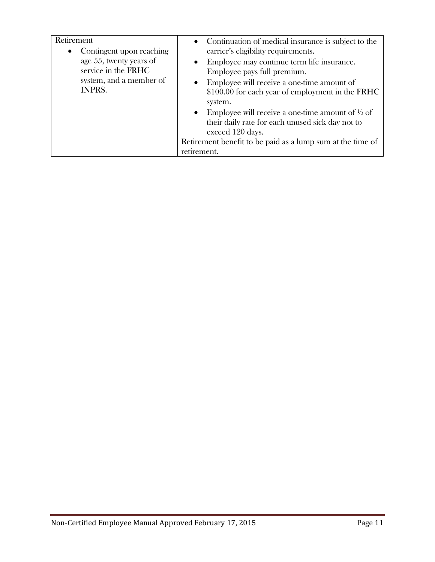| Retirement<br>Contingent upon reaching<br>$\bullet$                                        | • Continuation of medical insurance is subject to the<br>carrier's eligibility requirements.                                                                                                                              |
|--------------------------------------------------------------------------------------------|---------------------------------------------------------------------------------------------------------------------------------------------------------------------------------------------------------------------------|
| age 55, twenty years of<br>service in the FRHC<br>system, and a member of<br><b>INPRS.</b> | Employee may continue term life insurance.<br>$\bullet$<br>Employee pays full premium.<br>Employee will receive a one-time amount of<br>$\bullet$<br>\$100.00 for each year of employment in the FRHC                     |
|                                                                                            | system.<br>Employee will receive a one-time amount of $\frac{1}{2}$ of<br>$\bullet$<br>their daily rate for each unused sick day not to<br>exceed 120 days.<br>Retirement benefit to be paid as a lump sum at the time of |
|                                                                                            | retirement.                                                                                                                                                                                                               |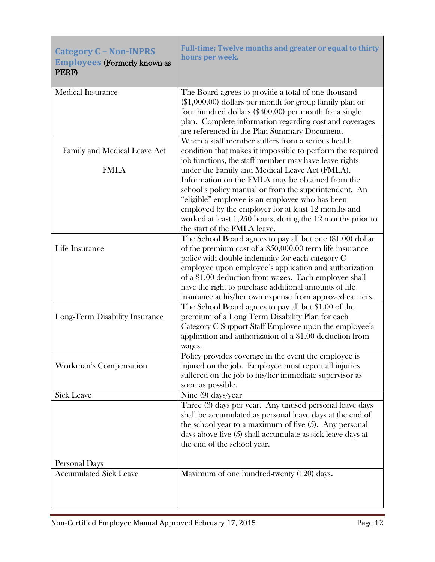<span id="page-11-1"></span><span id="page-11-0"></span>

| <b>Category C - Non-INPRS</b><br><b>Employees (Formerly known as</b><br>PERF) | Full-time; Twelve months and greater or equal to thirty<br>hours per week.                                                                                                                                                                                                                                                                                                                                          |
|-------------------------------------------------------------------------------|---------------------------------------------------------------------------------------------------------------------------------------------------------------------------------------------------------------------------------------------------------------------------------------------------------------------------------------------------------------------------------------------------------------------|
| <b>Medical Insurance</b>                                                      | The Board agrees to provide a total of one thousand<br>$(\$1,000.00)$ dollars per month for group family plan or<br>four hundred dollars $(\$400.00)$ per month for a single<br>plan. Complete information regarding cost and coverages<br>are referenced in the Plan Summary Document.                                                                                                                             |
| Family and Medical Leave Act                                                  | When a staff member suffers from a serious health<br>condition that makes it impossible to perform the required<br>job functions, the staff member may have leave rights                                                                                                                                                                                                                                            |
| <b>FMLA</b>                                                                   | under the Family and Medical Leave Act (FMLA).<br>Information on the FMLA may be obtained from the<br>school's policy manual or from the superintendent. An<br>"eligible" employee is an employee who has been<br>employed by the employer for at least 12 months and<br>worked at least 1,250 hours, during the 12 months prior to<br>the start of the FMLA leave.                                                 |
| Life Insurance                                                                | The School Board agrees to pay all but one (\$1.00) dollar<br>of the premium cost of a $$50,000.00$ term life insurance<br>policy with double indemnity for each category C<br>employee upon employee's application and authorization<br>of a \$1.00 deduction from wages. Each employee shall<br>have the right to purchase additional amounts of life<br>insurance at his/her own expense from approved carriers. |
| Long-Term Disability Insurance                                                | The School Board agrees to pay all but \$1.00 of the<br>premium of a Long Term Disability Plan for each<br>Category C Support Staff Employee upon the employee's<br>application and authorization of a \$1.00 deduction from<br>wages.                                                                                                                                                                              |
| Workman's Compensation                                                        | Policy provides coverage in the event the employee is<br>injured on the job. Employee must report all injuries<br>suffered on the job to his/her immediate supervisor as<br>soon as possible.                                                                                                                                                                                                                       |
| <b>Sick Leave</b>                                                             | Nine (9) days/year                                                                                                                                                                                                                                                                                                                                                                                                  |
| Personal Days                                                                 | Three (3) days per year. Any unused personal leave days<br>shall be accumulated as personal leave days at the end of<br>the school year to a maximum of five $(5)$ . Any personal<br>days above five (5) shall accumulate as sick leave days at<br>the end of the school year.                                                                                                                                      |
| <b>Accumulated Sick Leave</b>                                                 | Maximum of one hundred-twenty (120) days.                                                                                                                                                                                                                                                                                                                                                                           |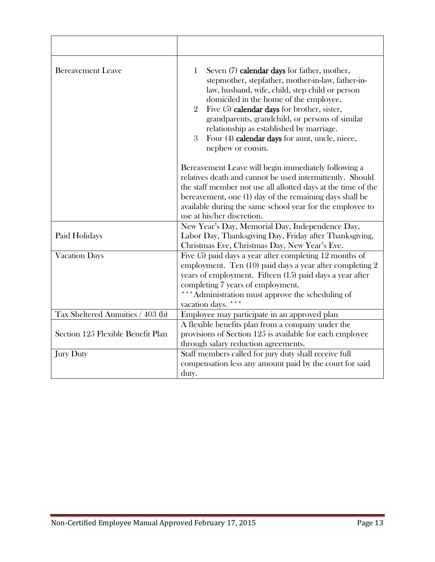| <b>Bereavement Leave</b>          | 1<br>Seven (7) calendar days for father, mother,<br>stepmother, stepfather, mother-in-law, father-in-<br>law, husband, wife, child, step child or person<br>domiciled in the home of the employee.<br>Five $(5)$ calendar days for brother, sister,<br>$\overline{2}$<br>grandparents, grandchild, or persons of similar<br>relationship as established by marriage.<br>3<br>Four (4) calendar days for aunt, uncle, niece,<br>nephew or cousin. |
|-----------------------------------|--------------------------------------------------------------------------------------------------------------------------------------------------------------------------------------------------------------------------------------------------------------------------------------------------------------------------------------------------------------------------------------------------------------------------------------------------|
|                                   | Bereavement Leave will begin immediately following a<br>relatives death and cannot be used intermittently. Should<br>the staff member not use all allotted days at the time of the<br>bereavement, one (1) day of the remaining days shall be<br>available during the same school year for the employee to<br>use at his/her discretion.                                                                                                         |
| Paid Holidays                     | New Year's Day, Memorial Day, Independence Day,<br>Labor Day, Thanksgiving Day, Friday after Thanksgiving,<br>Christmas Eve, Christmas Day, New Year's Eve.                                                                                                                                                                                                                                                                                      |
| <b>Vacation Days</b>              | Five $(5)$ paid days a year after completing 12 months of<br>employment. Ten $(10)$ paid days a year after completing 2<br>years of employment. Fifteen (15) paid days a year after<br>completing 7 years of employment.<br>***Administration must approve the scheduling of<br>vacation days.                                                                                                                                                   |
| Tax Sheltered Annuities / 403 (b) | Employee may participate in an approved plan                                                                                                                                                                                                                                                                                                                                                                                                     |
| Section 125 Flexible Benefit Plan | A flexible benefits plan from a company under the<br>provisions of Section 125 is available for each employee<br>through salary reduction agreements.                                                                                                                                                                                                                                                                                            |
| <b>Jury Duty</b>                  | Staff members called for jury duty shall receive full<br>compensation less any amount paid by the court for said<br>duty.                                                                                                                                                                                                                                                                                                                        |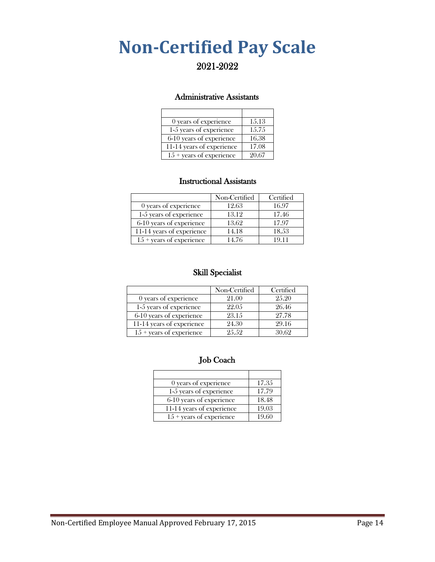## <span id="page-13-0"></span>**Non-Certified Pay Scale**

### 2021-2022

#### Administrative Assistants

| 0 years of experience             | 15.13 |
|-----------------------------------|-------|
| 1-5 years of experience           | 15.75 |
| 6-10 years of experience          | 16.38 |
| 11-14 years of experience         | 17.08 |
| $15 + \text{years}$ of experience | 20.67 |

#### Instructional Assistants

|                                   | Non-Certified | Certified |
|-----------------------------------|---------------|-----------|
| 0 years of experience             | 12.63         | 16.97     |
| 1-5 years of experience           | 13.12         | 17.46     |
| 6-10 years of experience          | 13.62         | 17.97     |
| 11-14 years of experience         | 14.18         | 18.53     |
| $15 + \text{years}$ of experience | 14.76         | 10 11     |

#### Skill Specialist

|                                   | Non-Certified | Certified |
|-----------------------------------|---------------|-----------|
| 0 years of experience             | 21.00         | 2.5.20    |
| 1-5 years of experience           | 22.05         | 26.46     |
| 6-10 years of experience          | 23.15         | 27.78     |
| 11-14 years of experience         | 24.30         | 29.16     |
| $15 + \text{years}$ of experience | 9.5.59        | 30.69     |

#### Job Coach

| 0 years of experience             | 17.35 |
|-----------------------------------|-------|
| 1-5 years of experience           | 17.79 |
| 6-10 years of experience          | 18.48 |
| 11-14 years of experience         | 19.03 |
| $15 + \text{years}$ of experience | 19.60 |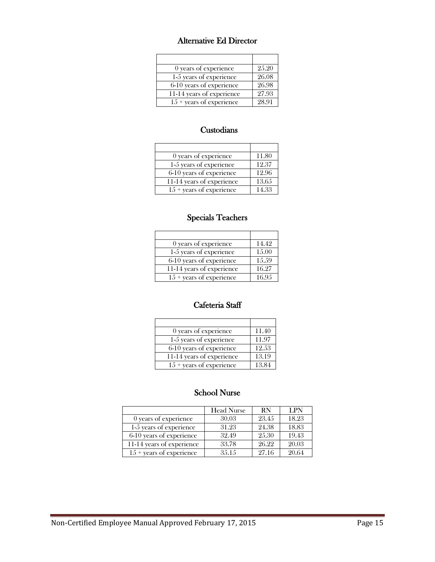#### Alternative Ed Director

| 0 years of experience             | 25.20 |
|-----------------------------------|-------|
| 1-5 years of experience           | 26.08 |
| 6-10 years of experience          | 26.98 |
| 11-14 years of experience         | 27.93 |
| $15 + \text{years}$ of experience | 28.91 |

#### **Custodians**

| 0 years of experience             | 11.80 |
|-----------------------------------|-------|
| 1-5 years of experience           | 12.37 |
| 6-10 years of experience          | 12.96 |
| 11-14 years of experience         | 13.65 |
| $15 + \text{years}$ of experience | 14.33 |

#### Specials Teachers

| 0 years of experience             | 14.42 |
|-----------------------------------|-------|
| 1-5 years of experience           | 15.00 |
| 6-10 years of experience          | 15.59 |
| 11-14 years of experience         | 16.27 |
| $15 + \text{years}$ of experience | 16.95 |

#### Cafeteria Staff

<u> 1980 - Jan Barat, martin a</u>

| 0 years of experience             | 11.40 |
|-----------------------------------|-------|
| 1-5 years of experience           | 11.97 |
| 6-10 years of experience          | 12.53 |
| 11-14 years of experience         | 13.19 |
| $15 + \text{years}$ of experience | 13.84 |

#### School Nurse

|                                   | <b>Head Nurse</b> | <b>RN</b> | <b>LPN</b> |
|-----------------------------------|-------------------|-----------|------------|
| 0 years of experience             | 30.03             | 23.45     | 18.23      |
| 1-5 years of experience           | 31.23             | 24.38     | 18.83      |
| 6-10 years of experience          | 32.49             | 25.30     | 19.43      |
| 11-14 years of experience         | 33.78             | 26.22     | 20.03      |
| $15 + \text{years}$ of experience | 3.5.1.5           | 27.16     | 20.64      |